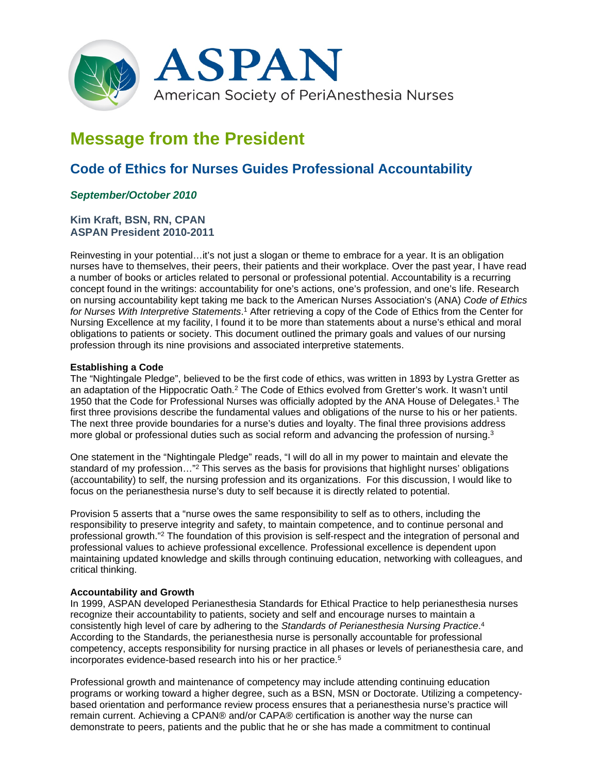

# **Message from the President**

## **Code of Ethics for Nurses Guides Professional Accountability**

### *September/October 2010*

#### **Kim Kraft, BSN, RN, CPAN ASPAN President 2010-2011**

Reinvesting in your potential…it's not just a slogan or theme to embrace for a year. It is an obligation nurses have to themselves, their peers, their patients and their workplace. Over the past year, I have read a number of books or articles related to personal or professional potential. Accountability is a recurring concept found in the writings: accountability for one's actions, one's profession, and one's life. Research on nursing accountability kept taking me back to the American Nurses Association's (ANA) *Code of Ethics for Nurses With Interpretive Statements*. <sup>1</sup> After retrieving a copy of the Code of Ethics from the Center for Nursing Excellence at my facility, I found it to be more than statements about a nurse's ethical and moral obligations to patients or society. This document outlined the primary goals and values of our nursing profession through its nine provisions and associated interpretive statements.

#### **Establishing a Code**

The "Nightingale Pledge", believed to be the first code of ethics, was written in 1893 by Lystra Gretter as an adaptation of the Hippocratic Oath.2 The Code of Ethics evolved from Gretter's work. It wasn't until 1950 that the Code for Professional Nurses was officially adopted by the ANA House of Delegates.1 The first three provisions describe the fundamental values and obligations of the nurse to his or her patients. The next three provide boundaries for a nurse's duties and loyalty. The final three provisions address more global or professional duties such as social reform and advancing the profession of nursing.3

One statement in the "Nightingale Pledge" reads, "I will do all in my power to maintain and elevate the standard of my profession…"2 This serves as the basis for provisions that highlight nurses' obligations (accountability) to self, the nursing profession and its organizations. For this discussion, I would like to focus on the perianesthesia nurse's duty to self because it is directly related to potential.

Provision 5 asserts that a "nurse owes the same responsibility to self as to others, including the responsibility to preserve integrity and safety, to maintain competence, and to continue personal and professional growth."2 The foundation of this provision is self-respect and the integration of personal and professional values to achieve professional excellence. Professional excellence is dependent upon maintaining updated knowledge and skills through continuing education, networking with colleagues, and critical thinking.

#### **Accountability and Growth**

In 1999, ASPAN developed Perianesthesia Standards for Ethical Practice to help perianesthesia nurses recognize their accountability to patients, society and self and encourage nurses to maintain a consistently high level of care by adhering to the *Standards of Perianesthesia Nursing Practice*. 4 According to the Standards, the perianesthesia nurse is personally accountable for professional competency, accepts responsibility for nursing practice in all phases or levels of perianesthesia care, and incorporates evidence-based research into his or her practice.5

Professional growth and maintenance of competency may include attending continuing education programs or working toward a higher degree, such as a BSN, MSN or Doctorate. Utilizing a competencybased orientation and performance review process ensures that a perianesthesia nurse's practice will remain current. Achieving a CPAN® and/or CAPA® certification is another way the nurse can demonstrate to peers, patients and the public that he or she has made a commitment to continual